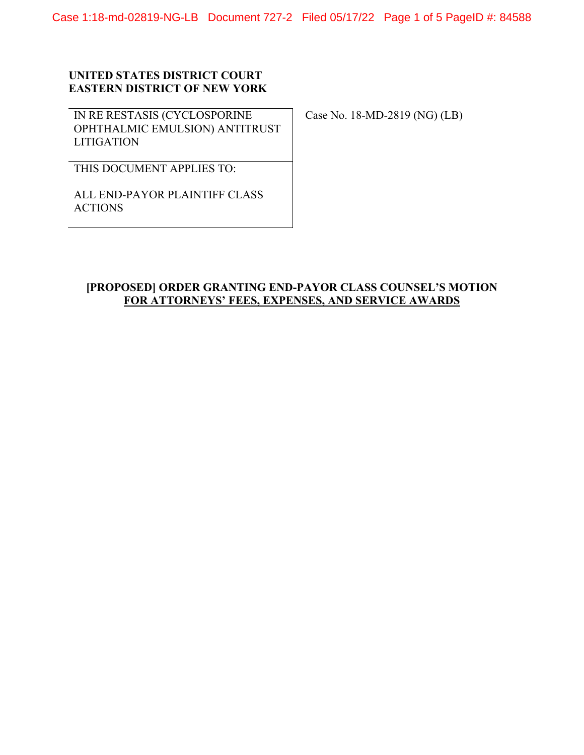Case 1:18-md-02819-NG-LB Document 727-2 Filed 05/17/22 Page 1 of 5 PageID #: 84588

## **UNITED STATES DISTRICT COURT EASTERN DISTRICT OF NEW YORK**

IN RE RESTASIS (CYCLOSPORINE OPHTHALMIC EMULSION) ANTITRUST **LITIGATION** 

Case No. 18-MD-2819 (NG) (LB)

THIS DOCUMENT APPLIES TO:

ALL END-PAYOR PLAINTIFF CLASS ACTIONS

## **[PROPOSED] ORDER GRANTING END-PAYOR CLASS COUNSEL'S MOTION FOR ATTORNEYS' FEES, EXPENSES, AND SERVICE AWARDS**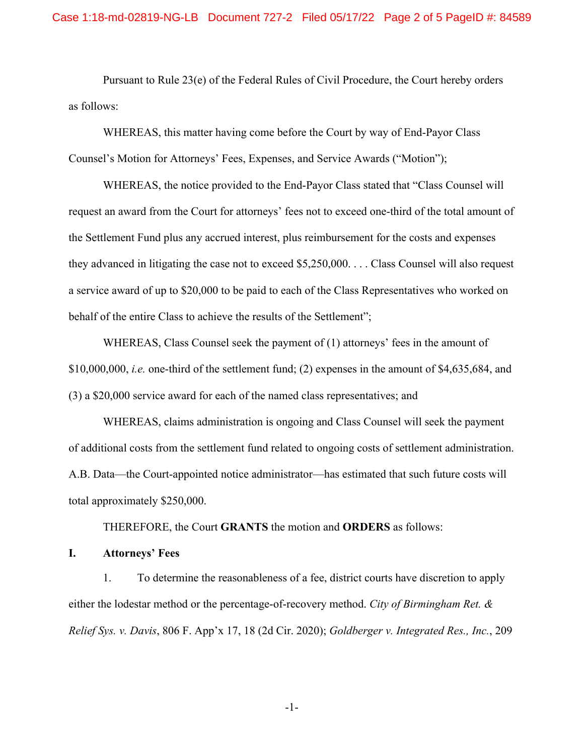Pursuant to Rule 23(e) of the Federal Rules of Civil Procedure, the Court hereby orders as follows:

WHEREAS, this matter having come before the Court by way of End-Payor Class Counsel's Motion for Attorneys' Fees, Expenses, and Service Awards ("Motion");

WHEREAS, the notice provided to the End-Payor Class stated that "Class Counsel will request an award from the Court for attorneys' fees not to exceed one-third of the total amount of the Settlement Fund plus any accrued interest, plus reimbursement for the costs and expenses they advanced in litigating the case not to exceed \$5,250,000. . . . Class Counsel will also request a service award of up to \$20,000 to be paid to each of the Class Representatives who worked on behalf of the entire Class to achieve the results of the Settlement";

WHEREAS, Class Counsel seek the payment of (1) attorneys' fees in the amount of \$10,000,000, *i.e.* one-third of the settlement fund; (2) expenses in the amount of \$4,635,684, and (3) a \$20,000 service award for each of the named class representatives; and

WHEREAS, claims administration is ongoing and Class Counsel will seek the payment of additional costs from the settlement fund related to ongoing costs of settlement administration. A.B. Data—the Court-appointed notice administrator—has estimated that such future costs will total approximately \$250,000.

THEREFORE, the Court **GRANTS** the motion and **ORDERS** as follows:

**I. Attorneys' Fees** 

1. To determine the reasonableness of a fee, district courts have discretion to apply either the lodestar method or the percentage-of-recovery method. *City of Birmingham Ret. & Relief Sys. v. Davis*, 806 F. App'x 17, 18 (2d Cir. 2020); *Goldberger v. Integrated Res., Inc.*, 209

-1-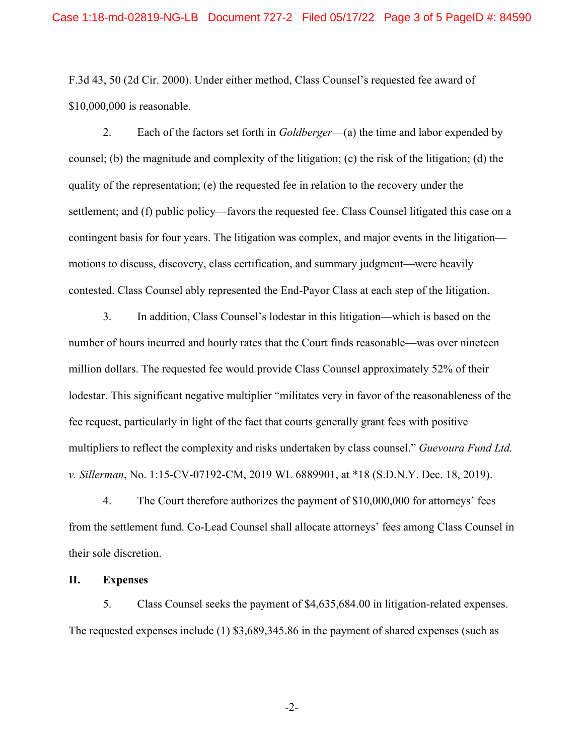F.3d 43, 50 (2d Cir. 2000). Under either method, Class Counsel's requested fee award of \$10,000,000 is reasonable.

2. Each of the factors set forth in *Goldberger*—(a) the time and labor expended by counsel; (b) the magnitude and complexity of the litigation; (c) the risk of the litigation; (d) the quality of the representation; (e) the requested fee in relation to the recovery under the settlement; and (f) public policy—favors the requested fee. Class Counsel litigated this case on a contingent basis for four years. The litigation was complex, and major events in the litigation motions to discuss, discovery, class certification, and summary judgment—were heavily contested. Class Counsel ably represented the End-Payor Class at each step of the litigation.

3. In addition, Class Counsel's lodestar in this litigation—which is based on the number of hours incurred and hourly rates that the Court finds reasonable—was over nineteen million dollars. The requested fee would provide Class Counsel approximately 52% of their lodestar. This significant negative multiplier "militates very in favor of the reasonableness of the fee request, particularly in light of the fact that courts generally grant fees with positive multipliers to reflect the complexity and risks undertaken by class counsel." *Guevoura Fund Ltd. v. Sillerman*, No. 1:15-CV-07192-CM, 2019 WL 6889901, at \*18 (S.D.N.Y. Dec. 18, 2019).

4. The Court therefore authorizes the payment of \$10,000,000 for attorneys' fees from the settlement fund. Co-Lead Counsel shall allocate attorneys' fees among Class Counsel in their sole discretion.

## **II. Expenses**

5. Class Counsel seeks the payment of \$4,635,684.00 in litigation-related expenses. The requested expenses include (1) \$3,689,345.86 in the payment of shared expenses (such as

-2-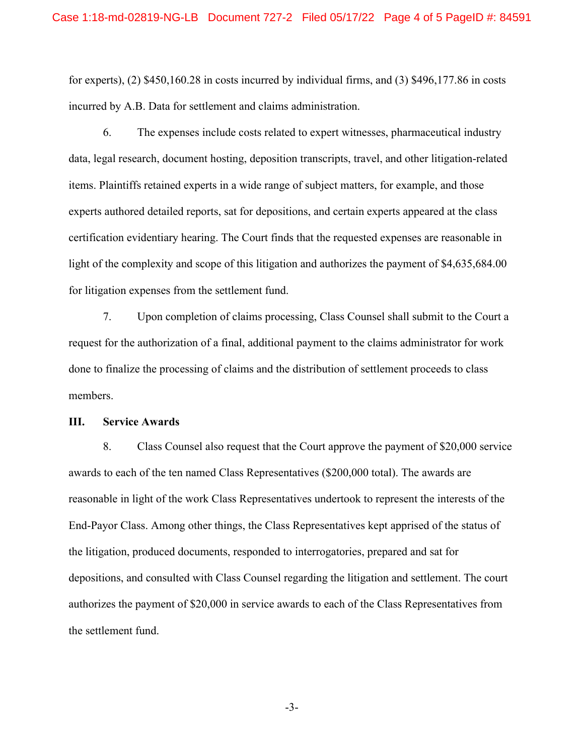for experts), (2) \$450,160.28 in costs incurred by individual firms, and (3) \$496,177.86 in costs incurred by A.B. Data for settlement and claims administration.

6. The expenses include costs related to expert witnesses, pharmaceutical industry data, legal research, document hosting, deposition transcripts, travel, and other litigation-related items. Plaintiffs retained experts in a wide range of subject matters, for example, and those experts authored detailed reports, sat for depositions, and certain experts appeared at the class certification evidentiary hearing. The Court finds that the requested expenses are reasonable in light of the complexity and scope of this litigation and authorizes the payment of \$4,635,684.00 for litigation expenses from the settlement fund.

7. Upon completion of claims processing, Class Counsel shall submit to the Court a request for the authorization of a final, additional payment to the claims administrator for work done to finalize the processing of claims and the distribution of settlement proceeds to class members.

## **III. Service Awards**

8. Class Counsel also request that the Court approve the payment of \$20,000 service awards to each of the ten named Class Representatives (\$200,000 total). The awards are reasonable in light of the work Class Representatives undertook to represent the interests of the End-Payor Class. Among other things, the Class Representatives kept apprised of the status of the litigation, produced documents, responded to interrogatories, prepared and sat for depositions, and consulted with Class Counsel regarding the litigation and settlement. The court authorizes the payment of \$20,000 in service awards to each of the Class Representatives from the settlement fund.

-3-